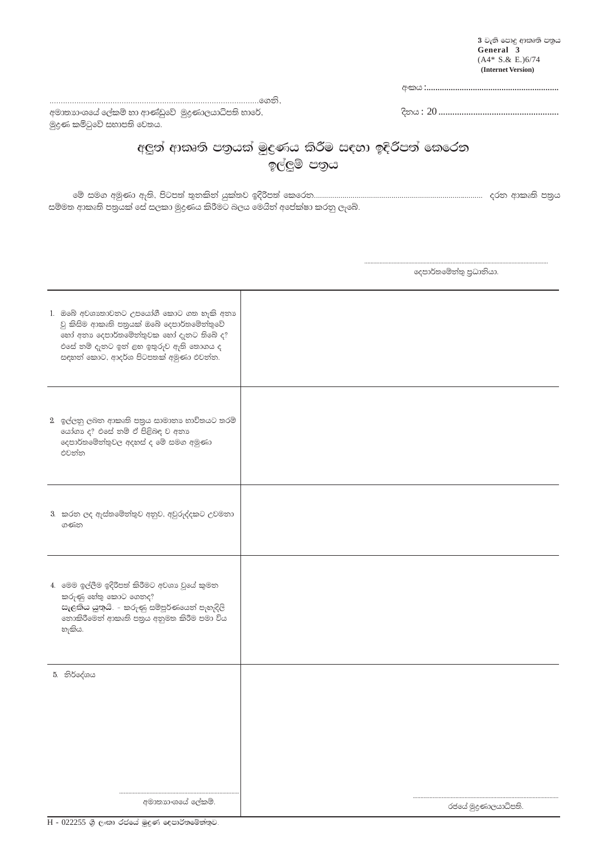$3$  වැනි පොදු ආකෘති පතුය<br>General  $3$  $(A4* S. & E.)6/74$ (Internet Version)

 $\mathbb{P}^1(\mathbb{P}^1(\mathbb{P}^1(\mathbb{P}^1(\mathbb{P}^1(\mathbb{P}^1(\mathbb{P}^1(\mathbb{P}^1(\mathbb{P}^1(\mathbb{P}^1(\mathbb{P}^1(\mathbb{P}^1(\mathbb{P}^1(\mathbb{P}^1(\mathbb{P}^1(\mathbb{P}^1(\mathbb{P}^1(\mathbb{P}^1(\mathbb{P}^1(\mathbb{P}^1(\mathbb{P}^1(\mathbb{P}^1(\mathbb{P}^1(\mathbb{P}^1(\mathbb{P}^1(\mathbb{P}^1(\mathbb{P}^1(\mathbb{$ 

අමාතාගයයේ ලේකම් හා ආණ්ඩුවේ මුදුණාලයාධිපති භාරේ, මුදුණ කමිටුවේ සභාපති වෙතය.

## අලුත් ආකෘති පතුයක් මුදුණය කිරීම සඳහා ඉදිරිපත් කෙරෙත ඉල්ලුම් පතුය

සම්මත ආකෘති පතුයක් සේ සලකා මුදුණය කිරීමට බලය මෙයින් අපේක්ෂා කරනු ලැබේ.

දෙපාර්තමේන්තු පුධානියා.

| 1. ඔබේ අවශාතාවනට උපයෝගී කොට ගත හැකි අනා<br>වු කිසිම ආකෘති පතුයක් ඔබේ දෙපාර්තමේන්තුවේ<br>හෝ අනා දෙපාර්තමේන්තුවක හෝ දැනට තිබේ ද?<br>එසේ නම් දැනට ඉන් ළහ ඉතුරුව ඇති තොගය ද<br>සඳහන් කොට, ආදර්ශ පිටපතක් අමුණා එවන්න. |                     |
|------------------------------------------------------------------------------------------------------------------------------------------------------------------------------------------------------------------|---------------------|
| 2 ඉල්ලනු ලබන ආකෘති පනුය සාමානා භාවිතයට තරම්<br>යෝගා ද? එසේ තම් ඒ පිළිබඳ ව අනා<br>දෙපාර්තමේන්තුවල අදහස් ද මේ සමග අමුණා<br>එවන්න                                                                                   |                     |
| 3. කරන ලද ඇස්තමේන්තුව අනුව, අවුරුද්දකට උවමනා<br>ගණන                                                                                                                                                              |                     |
| 4. මෙම ඉල්ලීම ඉදිරිපත් කිරීමට අවශා වූයේ කුමන<br>කරුණු හේතු කොට ගෙනද?<br>සැලකිය යුතුයි. - කරුණු සම්පූර්ණයෙන් පැහැදිලි<br>තොකිරීමෙන් ආකෘති පතුය අනුමත කිරීම පමා විය<br>හැකිය.                                      |                     |
| 5. නිර්දේශය<br>අමාතාගයෙේ ලේකම්.                                                                                                                                                                                  |                     |
|                                                                                                                                                                                                                  | රජයේ මුදුණාලයාධිපති |

 $\overline{H}$  -  $022255$  ශූී ලංකා රජයේ මුදුණ දෙපාර්තමේන්තුව.